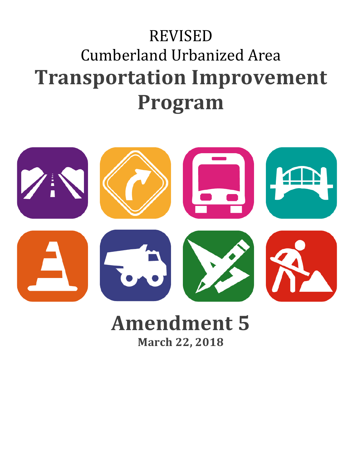# REVISED Cumberland Urbanized Area **Transportation Improvement Program**



## **Amendment 5 March 22, 2018**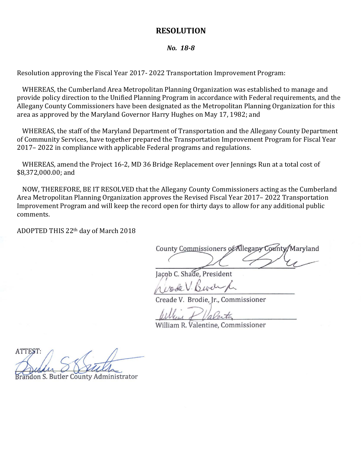#### **RESOLUTION**

#### *No. 18-8*

Resolution approving the Fiscal Year 2017- 2022 Transportation Improvement Program:

WHEREAS, the Cumberland Area Metropolitan Planning Organization was established to manage and provide policy direction to the Unified Planning Program in accordance with Federal requirements, and the Allegany County Commissioners have been designated as the Metropolitan Planning Organization for this area as approved by the Maryland Governor Harry Hughes on May 17, 1982; and

WHEREAS, the staff of the Maryland Department of Transportation and the Allegany County Department of Community Services, have together prepared the Transportation Improvement Program for Fiscal Year 2017– 2022 in compliance with applicable Federal programs and regulations.

WHEREAS, amend the Project 16-2, MD 36 Bridge Replacement over Jennings Run at a total cost of \$8,372,000.00; and

NOW, THEREFORE, BE IT RESOLVED that the Allegany County Commissioners acting as the Cumberland Area Metropolitan Planning Organization approves the Revised Fiscal Year 2017– 2022 Transportation Improvement Program and will keep the record open for thirty days to allow for any additional public comments.

ADOPTED THIS 22th day of March 2018

County Commissioners of Allegany County, Maryland  $\overbrace{\phantom{aaaaa}}^{\phantom{aaaaa}}$ 

Jacob C. Shade, President

*\_\_\_\_\_\_\_\_\_\_\_\_\_\_\_\_\_\_\_\_\_\_\_\_\_\_\_\_\_\_\_\_\_\_\_\_\_\_\_\_\_\_\_\_\_\_\_\_\_\_\_\_*

Creade V. Brodie, Jr., Commissioner

filleen of Valentin

William R. Valentine, Commissioner

ATTEST:  $\sum_{i=1}^n a_{i+1}$ 

Brandon S. Butler County Administrator